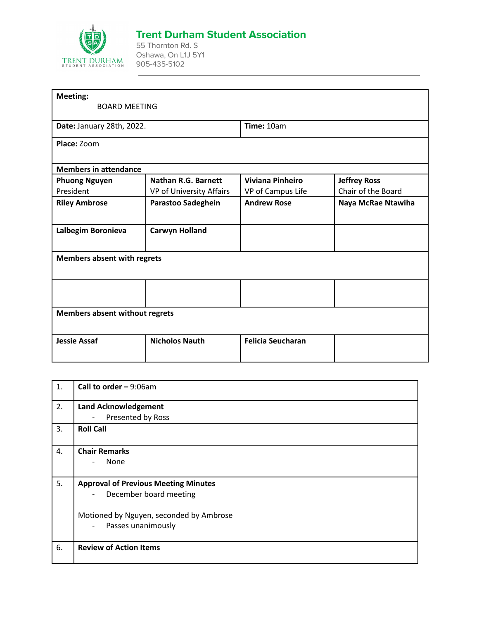

## **Trent Durham Student Association**

55 Thornton Rd. S Oshawa, On L1J 5Y1 905-435-5102

| <b>BOARD MEETING</b>                  |                          |                     |  |  |
|---------------------------------------|--------------------------|---------------------|--|--|
|                                       |                          |                     |  |  |
| Date: January 28th, 2022.             |                          |                     |  |  |
|                                       |                          |                     |  |  |
|                                       |                          |                     |  |  |
|                                       |                          |                     |  |  |
| Nathan R.G. Barnett                   | <b>Viviana Pinheiro</b>  | <b>Jeffrey Ross</b> |  |  |
| VP of University Affairs              | VP of Campus Life        | Chair of the Board  |  |  |
| Parastoo Sadeghein                    | <b>Andrew Rose</b>       | Naya McRae Ntawiha  |  |  |
| <b>Carwyn Holland</b>                 |                          |                     |  |  |
| <b>Members absent with regrets</b>    |                          |                     |  |  |
|                                       |                          |                     |  |  |
| <b>Members absent without regrets</b> |                          |                     |  |  |
| <b>Nicholos Nauth</b>                 | <b>Felicia Seucharan</b> |                     |  |  |
|                                       |                          | Time: 10am          |  |  |

| $\mathbf{1}$ . | Call to order $-9:06$ am                           |
|----------------|----------------------------------------------------|
| 2.             | <b>Land Acknowledgement</b>                        |
|                | Presented by Ross<br>$\overline{\phantom{a}}$      |
| 3.             | <b>Roll Call</b>                                   |
| 4.             | <b>Chair Remarks</b>                               |
|                | None<br>$\overline{a}$                             |
|                |                                                    |
| 5.             | <b>Approval of Previous Meeting Minutes</b>        |
|                | December board meeting<br>$\overline{\phantom{a}}$ |
|                |                                                    |
|                | Motioned by Nguyen, seconded by Ambrose            |
|                | Passes unanimously<br>$\overline{\phantom{a}}$     |
| 6.             | <b>Review of Action Items</b>                      |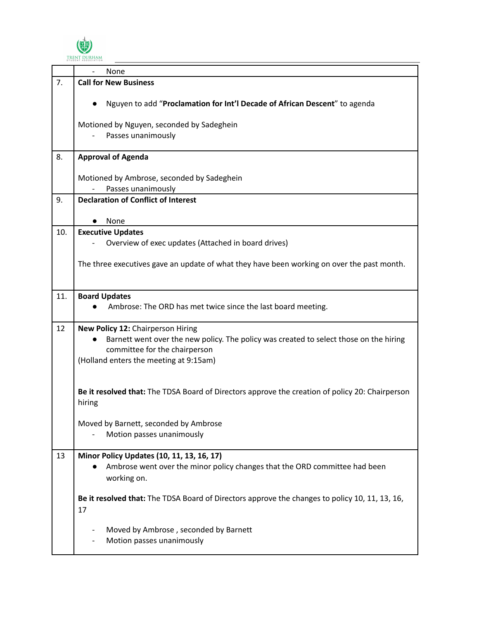

|     | None                                                                                                                                   |
|-----|----------------------------------------------------------------------------------------------------------------------------------------|
| 7.  | <b>Call for New Business</b>                                                                                                           |
|     | Nguyen to add "Proclamation for Int'l Decade of African Descent" to agenda                                                             |
|     | Motioned by Nguyen, seconded by Sadeghein<br>Passes unanimously                                                                        |
|     |                                                                                                                                        |
| 8.  | <b>Approval of Agenda</b>                                                                                                              |
|     | Motioned by Ambrose, seconded by Sadeghein                                                                                             |
| 9.  | Passes unanimously<br><b>Declaration of Conflict of Interest</b>                                                                       |
|     |                                                                                                                                        |
|     | None                                                                                                                                   |
| 10. | <b>Executive Updates</b>                                                                                                               |
|     | Overview of exec updates (Attached in board drives)                                                                                    |
|     | The three executives gave an update of what they have been working on over the past month.                                             |
| 11. | <b>Board Updates</b>                                                                                                                   |
|     | Ambrose: The ORD has met twice since the last board meeting.                                                                           |
| 12  | New Policy 12: Chairperson Hiring                                                                                                      |
|     | Barnett went over the new policy. The policy was created to select those on the hiring<br>committee for the chairperson                |
|     | (Holland enters the meeting at 9:15am)                                                                                                 |
|     | Be it resolved that: The TDSA Board of Directors approve the creation of policy 20: Chairperson<br>hiring                              |
|     | Moved by Barnett, seconded by Ambrose<br>Motion passes unanimously                                                                     |
| 13  | Minor Policy Updates (10, 11, 13, 16, 17)<br>Ambrose went over the minor policy changes that the ORD committee had been<br>working on. |
|     | Be it resolved that: The TDSA Board of Directors approve the changes to policy 10, 11, 13, 16,<br>17                                   |
|     | Moved by Ambrose, seconded by Barnett<br>Motion passes unanimously                                                                     |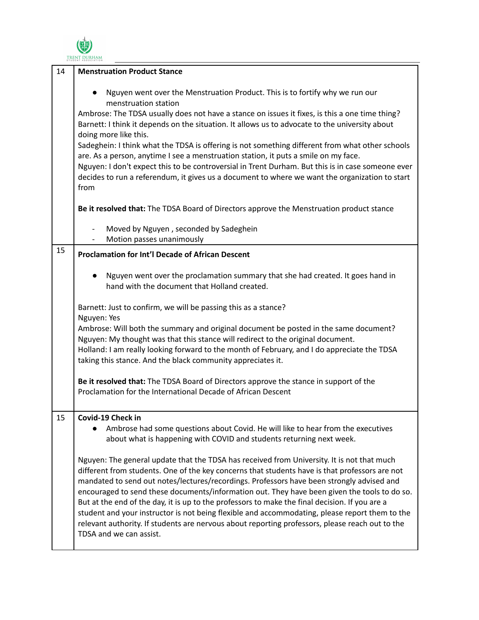

| 14 | <b>Menstruation Product Stance</b>                                                                                                                                                                                                                                                                                                                                                                                                                                                                                                                                                                                                                                                                                                         |
|----|--------------------------------------------------------------------------------------------------------------------------------------------------------------------------------------------------------------------------------------------------------------------------------------------------------------------------------------------------------------------------------------------------------------------------------------------------------------------------------------------------------------------------------------------------------------------------------------------------------------------------------------------------------------------------------------------------------------------------------------------|
|    | Nguyen went over the Menstruation Product. This is to fortify why we run our<br>menstruation station<br>Ambrose: The TDSA usually does not have a stance on issues it fixes, is this a one time thing?<br>Barnett: I think it depends on the situation. It allows us to advocate to the university about<br>doing more like this.<br>Sadeghein: I think what the TDSA is offering is not something different from what other schools<br>are. As a person, anytime I see a menstruation station, it puts a smile on my face.<br>Nguyen: I don't expect this to be controversial in Trent Durham. But this is in case someone ever<br>decides to run a referendum, it gives us a document to where we want the organization to start<br>from |
|    | Be it resolved that: The TDSA Board of Directors approve the Menstruation product stance                                                                                                                                                                                                                                                                                                                                                                                                                                                                                                                                                                                                                                                   |
|    | Moved by Nguyen, seconded by Sadeghein<br>Motion passes unanimously                                                                                                                                                                                                                                                                                                                                                                                                                                                                                                                                                                                                                                                                        |
| 15 | <b>Proclamation for Int'l Decade of African Descent</b>                                                                                                                                                                                                                                                                                                                                                                                                                                                                                                                                                                                                                                                                                    |
|    | Nguyen went over the proclamation summary that she had created. It goes hand in<br>hand with the document that Holland created.                                                                                                                                                                                                                                                                                                                                                                                                                                                                                                                                                                                                            |
|    | Barnett: Just to confirm, we will be passing this as a stance?<br>Nguyen: Yes                                                                                                                                                                                                                                                                                                                                                                                                                                                                                                                                                                                                                                                              |
|    | Ambrose: Will both the summary and original document be posted in the same document?<br>Nguyen: My thought was that this stance will redirect to the original document.<br>Holland: I am really looking forward to the month of February, and I do appreciate the TDSA<br>taking this stance. And the black community appreciates it.                                                                                                                                                                                                                                                                                                                                                                                                      |
|    | Be it resolved that: The TDSA Board of Directors approve the stance in support of the<br>Proclamation for the International Decade of African Descent                                                                                                                                                                                                                                                                                                                                                                                                                                                                                                                                                                                      |
| 15 | Covid-19 Check in<br>Ambrose had some questions about Covid. He will like to hear from the executives<br>about what is happening with COVID and students returning next week.                                                                                                                                                                                                                                                                                                                                                                                                                                                                                                                                                              |
|    | Nguyen: The general update that the TDSA has received from University. It is not that much<br>different from students. One of the key concerns that students have is that professors are not<br>mandated to send out notes/lectures/recordings. Professors have been strongly advised and<br>encouraged to send these documents/information out. They have been given the tools to do so.<br>But at the end of the day, it is up to the professors to make the final decision. If you are a<br>student and your instructor is not being flexible and accommodating, please report them to the<br>relevant authority. If students are nervous about reporting professors, please reach out to the<br>TDSA and we can assist.                |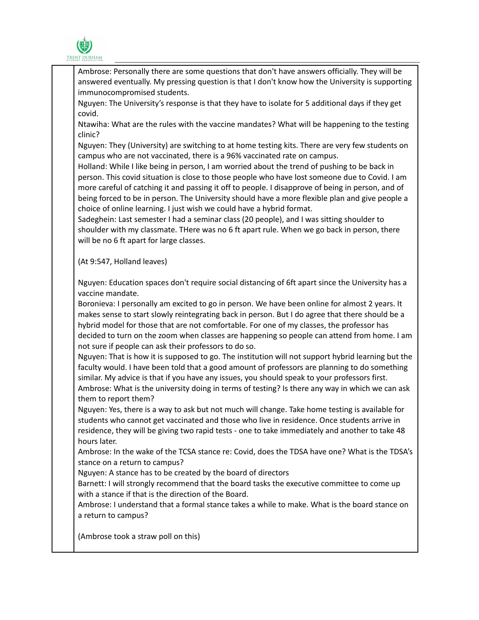

Ambrose: Personally there are some questions that don't have answers officially. They will be answered eventually. My pressing question is that I don't know how the University is supporting immunocompromised students.

Nguyen: The University's response is that they have to isolate for 5 additional days if they get covid.

Ntawiha: What are the rules with the vaccine mandates? What will be happening to the testing clinic?

Nguyen: They (University) are switching to at home testing kits. There are very few students on campus who are not vaccinated, there is a 96% vaccinated rate on campus.

Holland: While I like being in person, I am worried about the trend of pushing to be back in person. This covid situation is close to those people who have lost someone due to Covid. I am more careful of catching it and passing it off to people. I disapprove of being in person, and of being forced to be in person. The University should have a more flexible plan and give people a choice of online learning. I just wish we could have a hybrid format.

Sadeghein: Last semester I had a seminar class (20 people), and I was sitting shoulder to shoulder with my classmate. THere was no 6 ft apart rule. When we go back in person, there will be no 6 ft apart for large classes.

(At 9:547, Holland leaves)

Nguyen: Education spaces don't require social distancing of 6ft apart since the University has a vaccine mandate.

Boronieva: I personally am excited to go in person. We have been online for almost 2 years. It makes sense to start slowly reintegrating back in person. But I do agree that there should be a hybrid model for those that are not comfortable. For one of my classes, the professor has decided to turn on the zoom when classes are happening so people can attend from home. I am not sure if people can ask their professors to do so.

Nguyen: That is how it is supposed to go. The institution will not support hybrid learning but the faculty would. I have been told that a good amount of professors are planning to do something similar. My advice is that if you have any issues, you should speak to your professors first. Ambrose: What is the university doing in terms of testing? Is there any way in which we can ask them to report them?

Nguyen: Yes, there is a way to ask but not much will change. Take home testing is available for students who cannot get vaccinated and those who live in residence. Once students arrive in residence, they will be giving two rapid tests - one to take immediately and another to take 48 hours later.

Ambrose: In the wake of the TCSA stance re: Covid, does the TDSA have one? What is the TDSA's stance on a return to campus?

Nguyen: A stance has to be created by the board of directors

Barnett: I will strongly recommend that the board tasks the executive committee to come up with a stance if that is the direction of the Board.

Ambrose: I understand that a formal stance takes a while to make. What is the board stance on a return to campus?

(Ambrose took a straw poll on this)